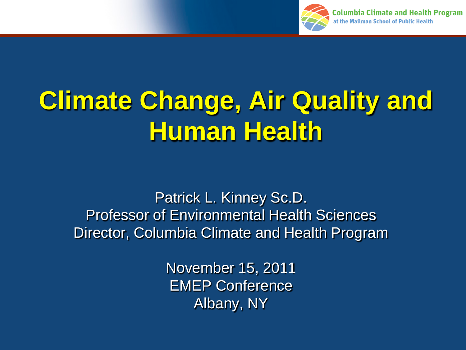

# **Climate Change, Air Quality and Human Health**

Patrick L. Kinney Sc.D. Professor of Environmental Health Sciences Director, Columbia Climate and Health Program

> November 15, 2011 EMEP Conference Albany, NY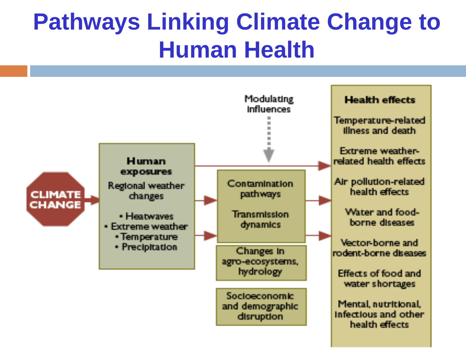### **Pathways Linking Climate Change to Human Health**

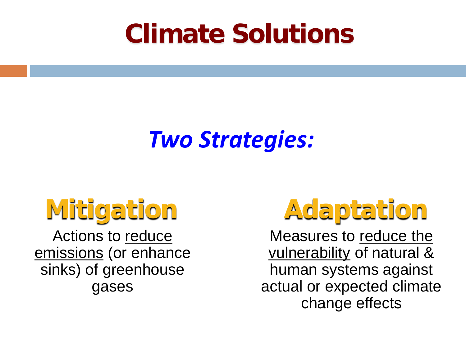## **Climate Solutions**

#### *Two Strategies:*

## **Mitigation**

Actions to reduce emissions (or enhance sinks) of greenhouse gases

## **Adaptation**

Measures to reduce the vulnerability of natural & human systems against actual or expected climate change effects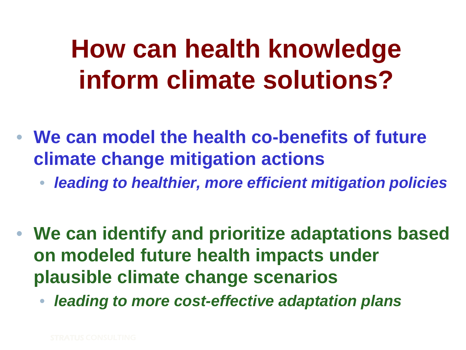## **How can health knowledge inform climate solutions?**

- **We can model the health co-benefits of future climate change mitigation actions**
	- *leading to healthier, more efficient mitigation policies*
- **We can identify and prioritize adaptations based on modeled future health impacts under plausible climate change scenarios**
	- *leading to more cost-effective adaptation plans*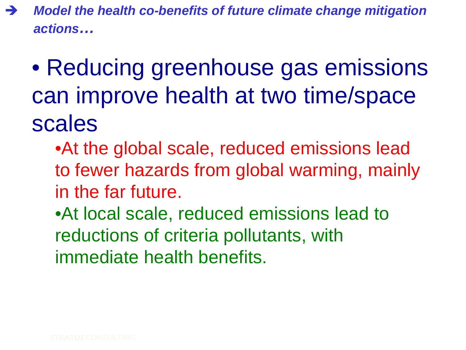- *Model the health co-benefits of future climate change mitigation actions…* 
	- Reducing greenhouse gas emissions can improve health at two time/space scales
		- •At the global scale, reduced emissions lead to fewer hazards from global warming, mainly in the far future.
		- •At local scale, reduced emissions lead to reductions of criteria pollutants, with immediate health benefits.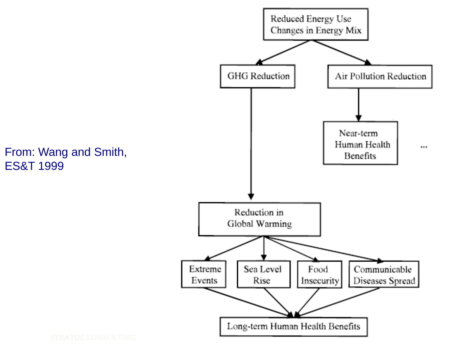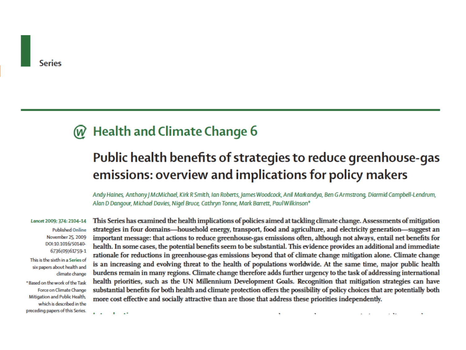#### **Health and Climate Change 6**

#### Public health benefits of strategies to reduce greenhouse-gas emissions: overview and implications for policy makers

Andy Haines, Anthony J McMichael, Kirk R Smith, Ian Roberts, James Woodcock, Anil Markandya, Ben G Armstrong, Diarmid Campbell-Lendrum, Alan D Dangour, Michael Davies, Nigel Bruce, Cathryn Tonne, Mark Barrett, Paul Wilkinson\*

Lancet 2009; 374: 2104-14

**Published Online** November 25, 2009 DOI:10.1016/50140-6736(09)61759-1

This is the sixth in a Series of six papers about health and dimate change

\*Based on the work of the Task Force on Climate Change Mitigation and Public Health. which is described in the preceding papers of this Series.

This Series has examined the health implications of policies aimed at tackling climate change. Assessments of mitigation strategies in four domains—household energy, transport, food and agriculture, and electricity generation—suggest an important message: that actions to reduce greenhouse-gas emissions often, although not always, entail net benefits for health. In some cases, the potential benefits seem to be substantial. This evidence provides an additional and immediate rationale for reductions in greenhouse-gas emissions beyond that of climate change mitigation alone. Climate change is an increasing and evolving threat to the health of populations worldwide. At the same time, major public health burdens remain in many regions. Climate change therefore adds further urgency to the task of addressing international health priorities, such as the UN Millennium Development Goals. Recognition that mitigation strategies can have substantial benefits for both health and climate protection offers the possibility of policy choices that are potentially both more cost effective and socially attractive than are those that address these priorities independently.

. .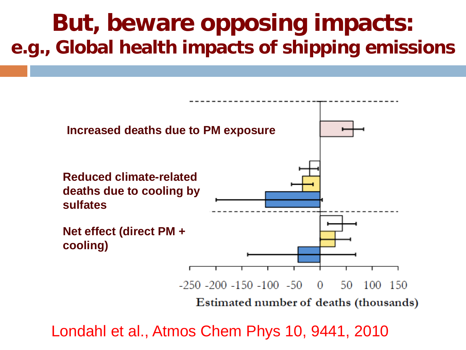#### **But, beware opposing impacts: e.g., Global health impacts of shipping emissions**



Londahl et al., Atmos Chem Phys 10, 9441, 2010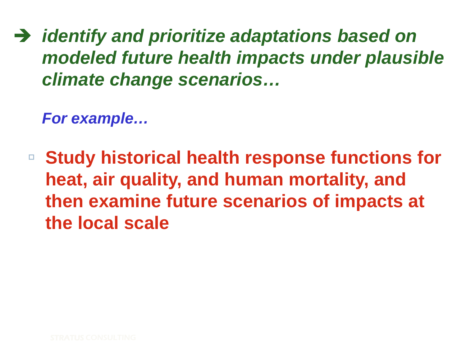*identify and prioritize adaptations based on modeled future health impacts under plausible climate change scenarios…*

*For example…*

 **Study historical health response functions for heat, air quality, and human mortality, and then examine future scenarios of impacts at the local scale**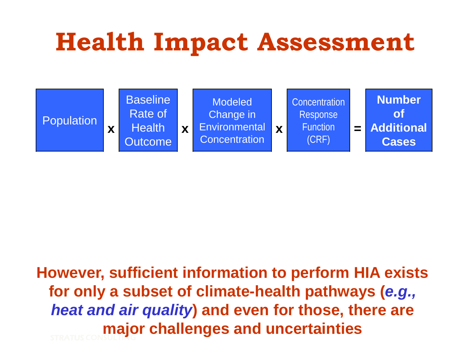## **Health Impact Assessment**



STRATUS CONSULTING **However, sufficient information to perform HIA exists for only a subset of climate-health pathways (***e.g., heat and air quality***) and even for those, there are major challenges and uncertainties**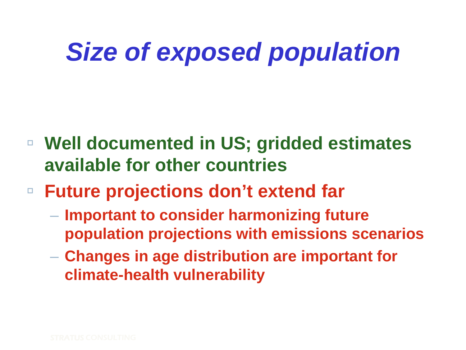## *Size of exposed population*

- **Well documented in US; gridded estimates available for other countries**
- **Future projections don't extend far**
	- **Important to consider harmonizing future population projections with emissions scenarios**
	- **Changes in age distribution are important for climate-health vulnerability**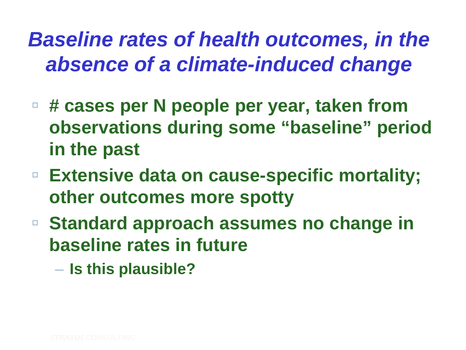*Baseline rates of health outcomes, in the absence of a climate-induced change*

- **# cases per N people per year, taken from observations during some "baseline" period in the past**
- **Extensive data on cause-specific mortality; other outcomes more spotty**
- **Standard approach assumes no change in baseline rates in future**
	- **Is this plausible?**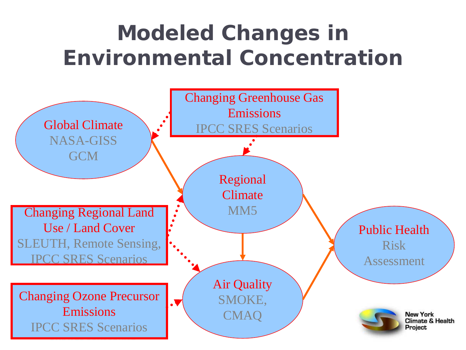#### **Modeled Changes in Environmental Concentration**

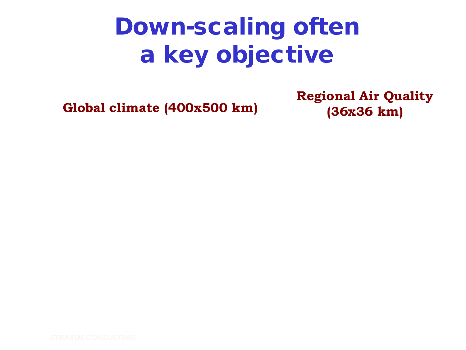### Down-scaling often a key objective

**Global climate (400x500 km)**

**Regional Air Quality (36x36 km)**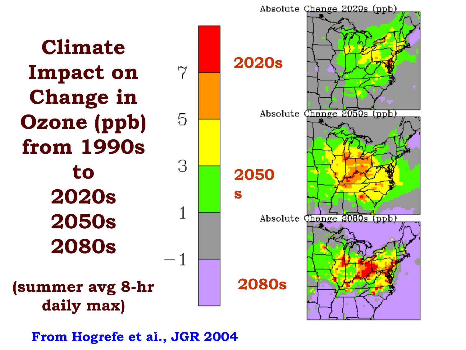

STRATUS CONSULTING **From Hogrefe et al., JGR 2004** *From Hogrefe et al., JGR 2004*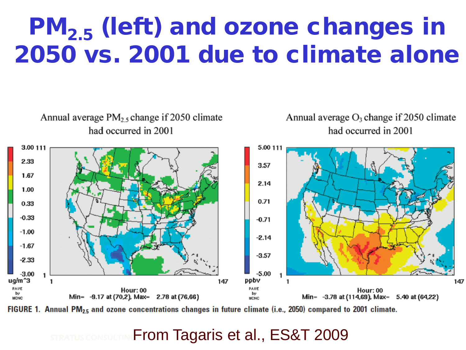### PM<sub>2.5</sub> (left) and ozone changes in 2050 vs. 2001 due to climate alone



FIGURE 1. Annual PM<sub>25</sub> and ozone concentrations changes in future climate (i.e., 2050) compared to 2001 climate.

#### STRATUS CONSULTING From Tagaris et al., ES&T 2009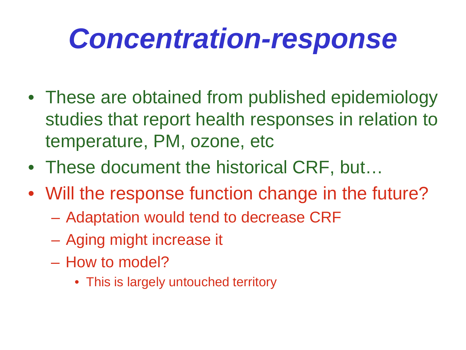# *Concentration-response*

- These are obtained from published epidemiology studies that report health responses in relation to temperature, PM, ozone, etc
- These document the historical CRF, but...
- Will the response function change in the future?
	- Adaptation would tend to decrease CRF
	- Aging might increase it
	- How to model?
		- This is largely untouched territory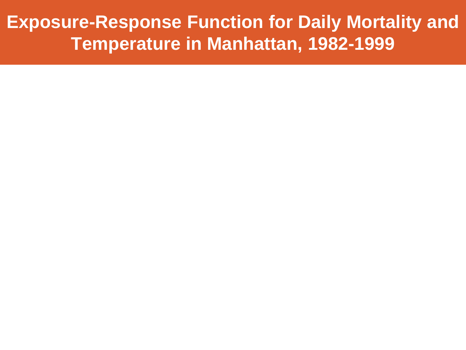**Exposure-Response Function for Daily Mortality and Temperature in Manhattan, 1982-1999**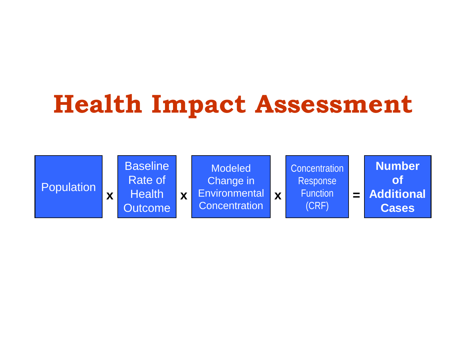## **Health Impact Assessment**

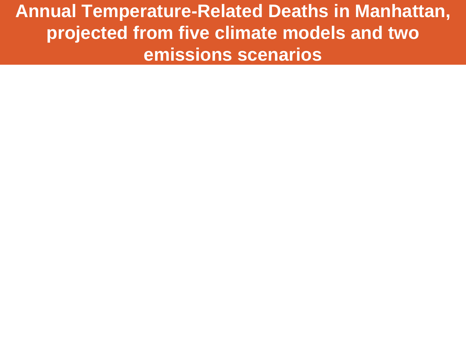**Annual Temperature-Related Deaths in Manhattan, projected from five climate models and two emissions scenarios**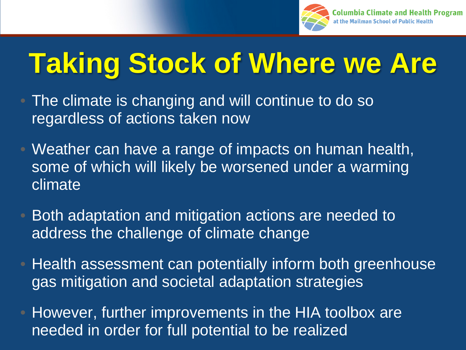

# **Taking Stock of Where we Are**

- The climate is changing and will continue to do so regardless of actions taken now
- Weather can have a range of impacts on human health, some of which will likely be worsened under a warming climate
- Both adaptation and mitigation actions are needed to address the challenge of climate change
- Health assessment can potentially inform both greenhouse gas mitigation and societal adaptation strategies
- However, further improvements in the HIA toolbox are needed in order for full potential to be realized